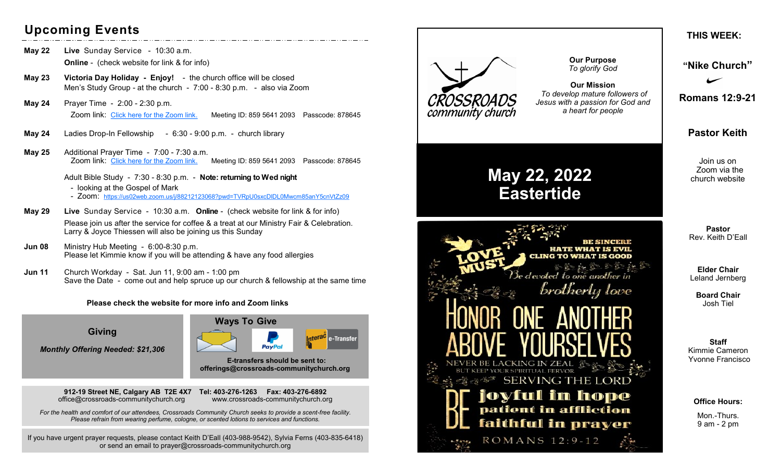# **Upcoming Events**

- **May 22 Live** Sunday Service 10:30 a.m. **Online** - (check website for link & for info)
- **May 23 Victoria Day Holiday - Enjoy!**  the church office will be closed Men's Study Group - at the church - 7:00 - 8:30 p.m. - also via Zoom
- **May 24** Prayer Time 2:00 2:30 p.m. Zoom link: [Click here for the Zoom link.](https://us02web.zoom.us/j/85956412093?pwd=b3AzaHorVFZiSGNPRUJiSnlDL1VBUT09) Meeting ID: 859 5641 2093 Passcode: 878645
- **May 24** Ladies Drop-In Fellowship 6:30 9:00 p.m. church library
- **May 25** Additional Prayer Time 7:00 7:30 a.m. Zoom link: [Click here for the Zoom link.](https://us02web.zoom.us/j/85956412093?pwd=b3AzaHorVFZiSGNPRUJiSnlDL1VBUT09) Meeting ID: 859 5641 2093 Passcode: 878645
	- Adult Bible Study 7:30 8:30 p.m. **Note: returning to Wed night**
	- looking at the Gospel of Mark
	- Zoom: <https://us02web.zoom.us/j/88212123068?pwd=TVRpU0sxcDlDL0Mwcm85anY5cnVtZz09>
- **May 29 Live** Sunday Service 10:30 a.m. **Online** (check website for link & for info) Please join us after the service for coffee & a treat at our Ministry Fair & Celebration. Larry & Joyce Thiessen will also be joining us this Sunday
- **Jun 08** Ministry Hub Meeting 6:00-8:30 p.m. Please let Kimmie know if you will be attending & have any food allergies
- **Jun 11** Church Workday Sat. Jun 11, 9:00 am 1:00 pm Save the Date - come out and help spruce up our church & fellowship at the same time

#### **Please check the website for more info and Zoom links**

**Giving**

*Monthly Offering Needed: \$21,306*





 **E-transfers should be sent to: offerings@crossroads-communitychurch.org** 

**912-19 Street NE, Calgary AB T2E 4X7 Tel: 403-276-1263 Fax: 403-276-6892** office@crossroads-communitychurch.org www.crossroads-communitychurch.org

*For the health and comfort of our attendees, Crossroads Community Church seeks to provide a scent-free facility. Please refrain from wearing perfume, cologne, or scented lotions to services and functions.*

If you have urgent prayer requests, please contact Keith D'Eall (403-988-9542), Sylvia Ferns (403-835-6418) or send an email to prayer@crossroads-communitychurch.org